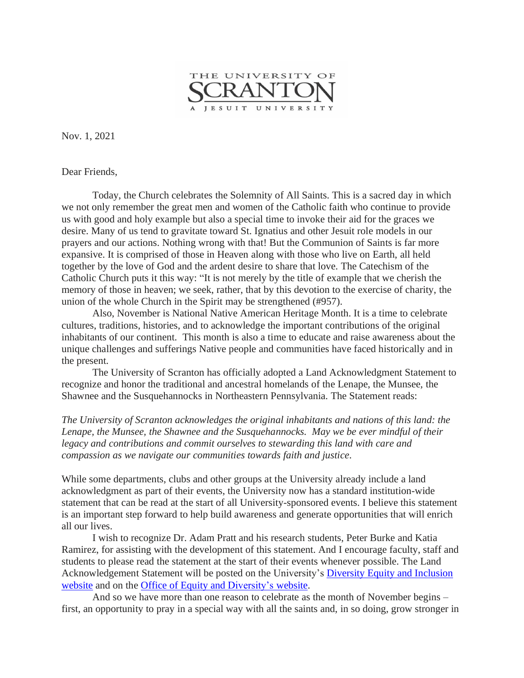

Nov. 1, 2021

Dear Friends,

 Today, the Church celebrates the Solemnity of All Saints. This is a sacred day in which we not only remember the great men and women of the Catholic faith who continue to provide us with good and holy example but also a special time to invoke their aid for the graces we desire. Many of us tend to gravitate toward St. Ignatius and other Jesuit role models in our prayers and our actions. Nothing wrong with that! But the Communion of Saints is far more expansive. It is comprised of those in Heaven along with those who live on Earth, all held together by the love of God and the ardent desire to share that love. The Catechism of the Catholic Church puts it this way: "It is not merely by the title of example that we cherish the memory of those in heaven; we seek, rather, that by this devotion to the exercise of charity, the union of the whole Church in the Spirit may be strengthened (#957).

Also, November is National Native American Heritage Month. It is a time to celebrate cultures, traditions, histories, and to acknowledge the important contributions of the original inhabitants of our continent. This month is also a time to educate and raise awareness about the unique challenges and sufferings Native people and communities have faced historically and in the present.

The University of Scranton has officially adopted a Land Acknowledgment Statement to recognize and honor the traditional and ancestral homelands of the Lenape, the Munsee, the Shawnee and the Susquehannocks in Northeastern Pennsylvania. The Statement reads:

*The University of Scranton acknowledges the original inhabitants and nations of this land: the Lenape, the Munsee, the Shawnee and the Susquehannocks. May we be ever mindful of their legacy and contributions and commit ourselves to stewarding this land with care and compassion as we navigate our communities towards faith and justice*.

While some departments, clubs and other groups at the University already include a land acknowledgment as part of their events, the University now has a standard institution-wide statement that can be read at the start of all University-sponsored events. I believe this statement is an important step forward to help build awareness and generate opportunities that will enrich all our lives.

I wish to recognize Dr. Adam Pratt and his research students, Peter Burke and Katia Ramirez, for assisting with the development of this statement. And I encourage faculty, staff and students to please read the statement at the start of their events whenever possible. The Land Acknowledgement Statement will be posted on the University's Diversity Equity and [Inclusion](https://www.scranton.edu/about/diversity-inclusion/index.shtml) [website](https://www.scranton.edu/about/diversity-inclusion/index.shtml) and on the Office of Equity and [Diversity's](https://www.scranton.edu/equity-diversity/index.shtml) website.

And so we have more than one reason to celebrate as the month of November begins – first, an opportunity to pray in a special way with all the saints and, in so doing, grow stronger in